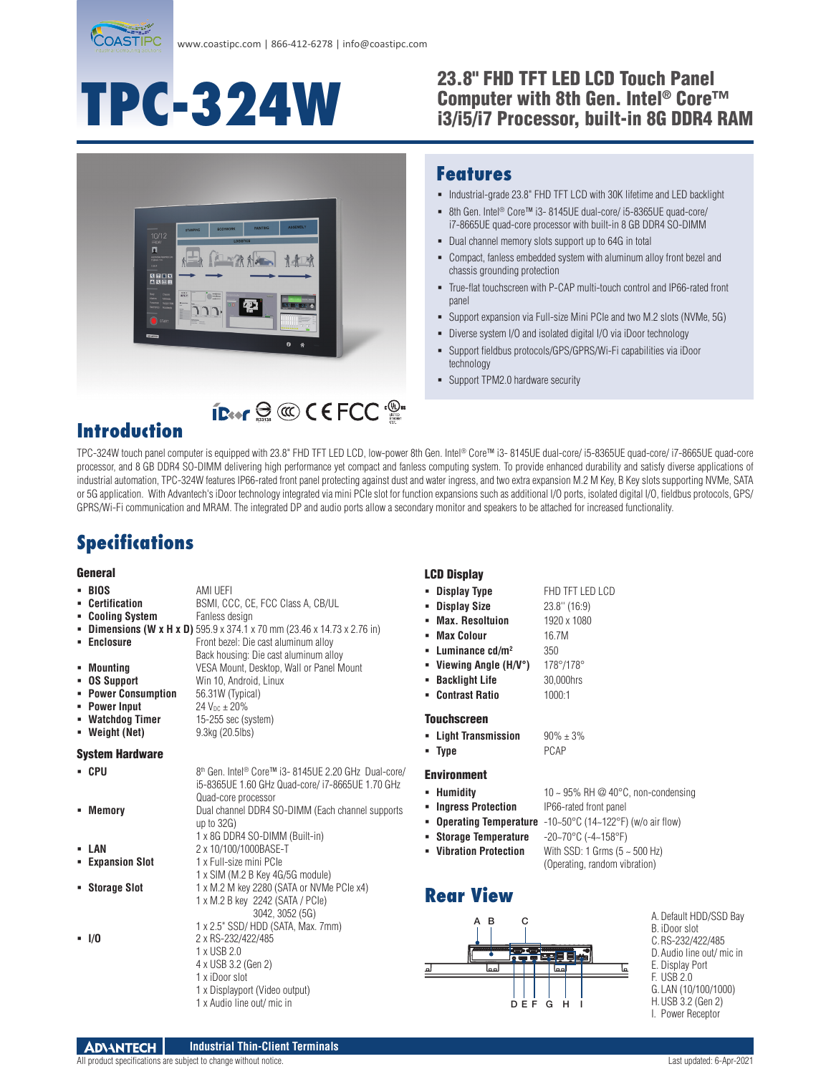

# **TPC-324W**

#### 23.8" FHD TFT LED LCD Touch Panel Computer with 8th Gen. Intel® Core™ i3/i5/i7 Processor, built-in 8G DDR4 RAM



#### **Features**

- $\blacksquare$  Industrial-grade 23.8" FHD TFT LCD with 30K lifetime and LED backlight
- 8th Gen. Intel<sup>®</sup> Core™ i3- 8145UE dual-core/ i5-8365UE quad-core/ i7-8665UE quad-core processor with built-in 8 GB DDR4 SO-DIMM
- Dual channel memory slots support up to 64G in total
- Compact, fanless embedded system with aluminum alloy front bezel and chassis grounding protection
- True-flat touchscreen with P-CAP multi-touch control and IP66-rated front panel
- Support expansion via Full-size Mini PCIe and two M.2 slots (NVMe, 5G)
- Diverse system I/O and isolated digital I/O via iDoor technology
- Support fieldbus protocols/GPS/GPRS/Wi-Fi capabilities via iDoor technology
- **-** Support TPM2.0 hardware security

### **Introduction**

TPC-324W touch panel computer is equipped with 23.8" FHD TFT LED LCD, low-power 8th Gen. Intel® Core™ i3- 8145UE dual-core/ i5-8365UE quad-core/ i7-8665UE quad-core processor, and 8 GB DDR4 SO-DIMM delivering high performance yet compact and fanless computing system. To provide enhanced durability and satisfy diverse applications of industrial automation, TPC-324W features IP66-rated front panel protecting against dust and water ingress, and two extra expansion M.2 M Key, B Key slots supporting NVMe, SATA or 5G application. With Advantech's iDoor technology integrated via mini PCIe slot for function expansions such as additional I/O ports, isolated digital I/O, fieldbus protocols, GPS/ GPRS/Wi-Fi communication and MRAM. The integrated DP and audio ports allow a secondary monitor and speakers to be attached for increased functionality.

## **Specifications**

#### General

| General                |                                                                               | <b>LCD Display</b>                |                                            |                                               |
|------------------------|-------------------------------------------------------------------------------|-----------------------------------|--------------------------------------------|-----------------------------------------------|
| - BIOS                 | AMI UEFI                                                                      | • Display Type                    | FHD TFT LED LCD                            |                                               |
| • Certification        | BSMI, CCC, CE, FCC Class A, CB/UL                                             | <b>Display Size</b>               | $23.8''$ (16:9)                            |                                               |
| • Cooling System       | Fanless design                                                                | <b>Max. Resoltuion</b><br>٠       | 1920 x 1080                                |                                               |
|                        | <b>Dimensions (W x H x D)</b> 595.9 x 374.1 x 70 mm (23.46 x 14.73 x 2.76 in) | <b>Max Colour</b>                 | 16.7M                                      |                                               |
| • Enclosure            | Front bezel: Die cast aluminum alloy                                          | Luminance $cd/m2$                 | 350                                        |                                               |
|                        | Back housing: Die cast aluminum alloy                                         |                                   | 178°/178°                                  |                                               |
| • Mounting             | VESA Mount, Desktop, Wall or Panel Mount                                      | Viewing Angle (H/V°)              |                                            |                                               |
| • OS Support           | Win 10, Android, Linux                                                        | <b>Backlight Life</b><br>٠        | 30,000hrs                                  |                                               |
| • Power Consumption    | 56.31W (Typical)                                                              | • Contrast Ratio                  | 1000:1                                     |                                               |
| • Power Input          | 24 $V_{DC}$ $\pm$ 20%                                                         |                                   |                                            |                                               |
| • Watchdog Timer       | $15-255$ sec (system)                                                         | <b>Touchscreen</b>                |                                            |                                               |
| • Weight (Net)         | 9.3kg (20.5lbs)                                                               | - Light Transmission              | $90\% \pm 3\%$                             |                                               |
| <b>System Hardware</b> |                                                                               | $-$ Type                          | PCAP                                       |                                               |
| - CPU                  | 8th Gen. Intel <sup>®</sup> Core™ i3-8145UE 2.20 GHz Dual-core/               | <b>Environment</b>                |                                            |                                               |
|                        | i5-8365UE 1.60 GHz Quad-core/ i7-8665UE 1.70 GHz                              | - Humidity                        | 10 ~ 95% RH $\oslash$ 40°C, non-condensing |                                               |
|                        | Quad-core processor                                                           |                                   |                                            |                                               |
| • Memory               | Dual channel DDR4 SO-DIMM (Each channel supports                              | <b>Ingress Protection</b>         | IP66-rated front panel                     |                                               |
|                        | up to $32G$ )                                                                 | <b>Operating Temperature</b><br>٠ | $-10-50$ °C (14~122°F) (w/o air flow)      |                                               |
|                        | 1 x 8G DDR4 SO-DIMM (Built-in)                                                | <b>Storage Temperature</b>        | $-20-70$ °C ( $-4-158$ °F)                 |                                               |
| - LAN                  | 2 x 10/100/1000BASE-T                                                         | <b>Vibration Protection</b>       | With SSD: 1 Grms $(5 - 500$ Hz)            |                                               |
| • Expansion Slot       | 1 x Full-size mini PCIe                                                       |                                   | (Operating, random vibration)              |                                               |
|                        | 1 x SIM (M.2 B Key 4G/5G module)                                              |                                   |                                            |                                               |
| • Storage Slot         | 1 x M.2 M key 2280 (SATA or NVMe PCIe x4)                                     | <b>Rear View</b>                  |                                            |                                               |
|                        | 1 x M.2 B key 2242 (SATA / PCIe)                                              |                                   |                                            |                                               |
|                        | 3042, 3052 (5G)<br>1 x 2.5" SSD/ HDD (SATA, Max. 7mm)                         | C<br>A B                          |                                            | A. Default HDD/SSD Bay                        |
| $-1/0$                 | 2 x RS-232/422/485                                                            |                                   |                                            | B. iDoor slot                                 |
|                        | 1 x USB 2.0                                                                   |                                   |                                            | C.RS-232/422/485<br>D. Audio line out/ mic in |
|                        | 4 x USB 3.2 (Gen 2)                                                           |                                   | Teel                                       | E. Display Port                               |
|                        | 1 x iDoor slot                                                                | امما<br>اء                        | اء<br>امما                                 | F. USB 2.0                                    |
|                        | 1 x Displayport (Video output)                                                |                                   |                                            | G. LAN (10/100/1000)                          |
|                        | 1 x Audio line out/ mic in                                                    | DEF G                             | H                                          | H. USB 3.2 (Gen 2)                            |
|                        |                                                                               |                                   |                                            | I. Power Receptor                             |